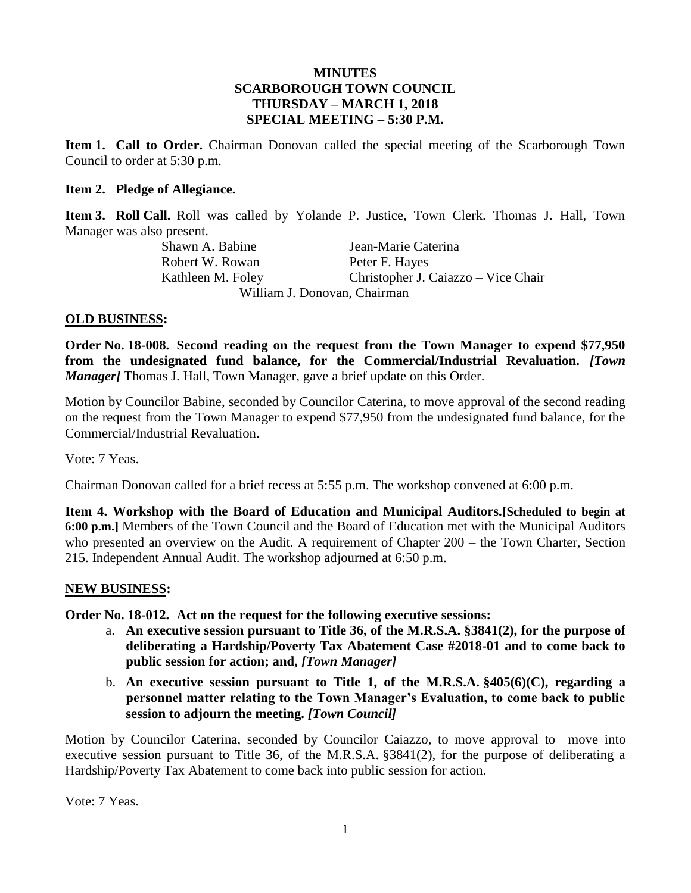## **MINUTES SCARBOROUGH TOWN COUNCIL THURSDAY – MARCH 1, 2018 SPECIAL MEETING – 5:30 P.M.**

**Item 1. Call to Order.** Chairman Donovan called the special meeting of the Scarborough Town Council to order at 5:30 p.m.

## **Item 2. Pledge of Allegiance.**

**Item 3. Roll Call.** Roll was called by Yolande P. Justice, Town Clerk. Thomas J. Hall, Town Manager was also present.

Shawn A. Babine Jean-Marie Caterina Robert W. Rowan Peter F. Hayes Kathleen M. Foley Christopher J. Caiazzo – Vice Chair William J. Donovan, Chairman

## **OLD BUSINESS:**

**Order No. 18-008. Second reading on the request from the Town Manager to expend \$77,950 from the undesignated fund balance, for the Commercial/Industrial Revaluation.** *[Town Manager]* Thomas J. Hall, Town Manager, gave a brief update on this Order.

Motion by Councilor Babine, seconded by Councilor Caterina, to move approval of the second reading on the request from the Town Manager to expend \$77,950 from the undesignated fund balance, for the Commercial/Industrial Revaluation.

Vote: 7 Yeas.

Chairman Donovan called for a brief recess at 5:55 p.m. The workshop convened at 6:00 p.m.

**Item 4. Workshop with the Board of Education and Municipal Auditors.[Scheduled to begin at 6:00 p.m.]** Members of the Town Council and the Board of Education met with the Municipal Auditors who presented an overview on the Audit. A requirement of Chapter 200 – the Town Charter, Section 215. Independent Annual Audit. The workshop adjourned at 6:50 p.m.

## **NEW BUSINESS:**

**Order No. 18-012. Act on the request for the following executive sessions:**

- a. **An executive session pursuant to Title 36, of the M.R.S.A. §3841(2), for the purpose of deliberating a Hardship/Poverty Tax Abatement Case #2018-01 and to come back to public session for action; and,** *[Town Manager]*
- b. **An executive session pursuant to Title 1, of the M.R.S.A. §405(6)(C), regarding a personnel matter relating to the Town Manager's Evaluation, to come back to public session to adjourn the meeting.** *[Town Council]*

Motion by Councilor Caterina, seconded by Councilor Caiazzo, to move approval to move into executive session pursuant to Title 36, of the M.R.S.A. §3841(2), for the purpose of deliberating a Hardship/Poverty Tax Abatement to come back into public session for action.

Vote: 7 Yeas.